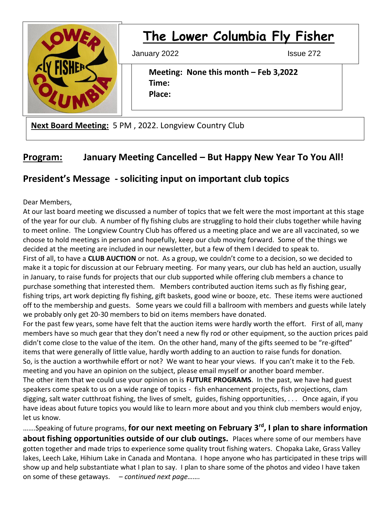

# **The Lower Columbia Fly Fisher**

January 2022 **Issue 272** 

 **Meeting: None this month – Feb 3,2022 Time: Place:**

**Next Board Meeting:** 5 PM , 2022. Longview Country Club

# **Program: January Meeting Cancelled – But Happy New Year To You All!**

## **President's Message - soliciting input on important club topics**

Dear Members,

At our last board meeting we discussed a number of topics that we felt were the most important at this stage of the year for our club. A number of fly fishing clubs are struggling to hold their clubs together while having to meet online. The Longview Country Club has offered us a meeting place and we are all vaccinated, so we choose to hold meetings in person and hopefully, keep our club moving forward. Some of the things we decided at the meeting are included in our newsletter, but a few of them I decided to speak to. First of all, to have a **CLUB AUCTION** or not. As a group, we couldn't come to a decision, so we decided to

make it a topic for discussion at our February meeting. For many years, our club has held an auction, usually in January, to raise funds for projects that our club supported while offering club members a chance to purchase something that interested them. Members contributed auction items such as fly fishing gear, fishing trips, art work depicting fly fishing, gift baskets, good wine or booze, etc. These items were auctioned off to the membership and guests. Some years we could fill a ballroom with members and guests while lately we probably only get 20-30 members to bid on items members have donated.

For the past few years, some have felt that the auction items were hardly worth the effort. First of all, many members have so much gear that they don't need a new fly rod or other equipment, so the auction prices paid didn't come close to the value of the item. On the other hand, many of the gifts seemed to be "re-gifted" items that were generally of little value, hardly worth adding to an auction to raise funds for donation. So, is the auction a worthwhile effort or not? We want to hear your views. If you can't make it to the Feb. meeting and you have an opinion on the subject, please email myself or another board member. The other item that we could use your opinion on is **FUTURE PROGRAMS**. In the past, we have had guest speakers come speak to us on a wide range of topics - fish enhancement projects, fish projections, clam digging, salt water cutthroat fishing, the lives of smelt, guides, fishing opportunities, . . . Once again, if you have ideas about future topics you would like to learn more about and you think club members would enjoy, let us know.

…….Speaking of future programs, **for our next meeting on February 3rd, I plan to share information about fishing opportunities outside of our club outings.** Places where some of our members have gotten together and made trips to experience some quality trout fishing waters. Chopaka Lake, Grass Valley lakes, Leech Lake, Hihium Lake in Canada and Montana. I hope anyone who has participated in these trips will show up and help substantiate what I plan to say. I plan to share some of the photos and video I have taken on some of these getaways. *– continued next page…….*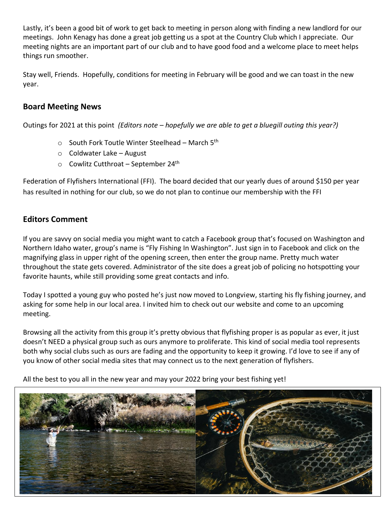Lastly, it's been a good bit of work to get back to meeting in person along with finding a new landlord for our meetings. John Kenagy has done a great job getting us a spot at the Country Club which I appreciate. Our meeting nights are an important part of our club and to have good food and a welcome place to meet helps things run smoother.

Stay well, Friends. Hopefully, conditions for meeting in February will be good and we can toast in the new year.

### **Board Meeting News**

Outings for 2021 at this point *(Editors note – hopefully we are able to get a bluegill outing this year?)*

- $\circ$  South Fork Toutle Winter Steelhead March 5<sup>th</sup>
- $\circ$  Coldwater Lake August
- $\circ$  Cowlitz Cutthroat September 24<sup>th</sup>

Federation of Flyfishers International (FFI). The board decided that our yearly dues of around \$150 per year has resulted in nothing for our club, so we do not plan to continue our membership with the FFI

## **Editors Comment**

If you are savvy on social media you might want to catch a Facebook group that's focused on Washington and Northern Idaho water, group's name is "Fly Fishing In Washington". Just sign in to Facebook and click on the magnifying glass in upper right of the opening screen, then enter the group name. Pretty much water throughout the state gets covered. Administrator of the site does a great job of policing no hotspotting your favorite haunts, while still providing some great contacts and info.

Today I spotted a young guy who posted he's just now moved to Longview, starting his fly fishing journey, and asking for some help in our local area. I invited him to check out our website and come to an upcoming meeting.

Browsing all the activity from this group it's pretty obvious that flyfishing proper is as popular as ever, it just doesn't NEED a physical group such as ours anymore to proliferate. This kind of social media tool represents both why social clubs such as ours are fading and the opportunity to keep it growing. I'd love to see if any of you know of other social media sites that may connect us to the next generation of flyfishers.

All the best to you all in the new year and may your 2022 bring your best fishing yet!